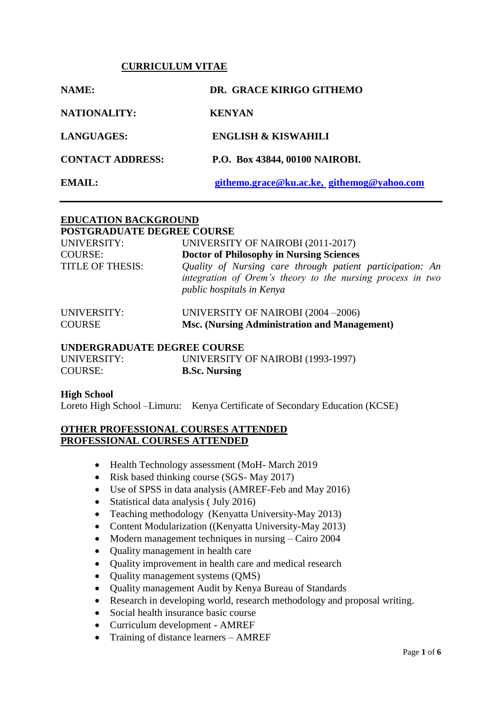#### **CURRICULUM VITAE**

| NAME:                   | DR. GRACE KIRIGO GITHEMO                   |
|-------------------------|--------------------------------------------|
| <b>NATIONALITY:</b>     | <b>KENYAN</b>                              |
| <b>LANGUAGES:</b>       | <b>ENGLISH &amp; KISWAHILI</b>             |
| <b>CONTACT ADDRESS:</b> | P.O. Box 43844, 00100 NAIROBI.             |
| EMAIL:                  | githemo.grace@ku.ac.ke, githemog@yahoo.com |

#### **EDUCATION BACKGROUND POSTGRADUATE DEGREE COURSE**

| FOSTGRADUATE DEGREE COURSE |                                                                                                                                                      |
|----------------------------|------------------------------------------------------------------------------------------------------------------------------------------------------|
| UNIVERSITY:                | UNIVERSITY OF NAIROBI (2011-2017)                                                                                                                    |
| <b>COURSE:</b>             | <b>Doctor of Philosophy in Nursing Sciences</b>                                                                                                      |
| <b>TITLE OF THESIS:</b>    | Quality of Nursing care through patient participation: An<br>integration of Orem's theory to the nursing process in two<br>public hospitals in Kenya |

| UNIVERSITY:   | UNIVERSITY OF NAIROBI (2004 –2006)           |
|---------------|----------------------------------------------|
| <b>COURSE</b> | Msc. (Nursing Administration and Management) |

#### **UNDERGRADUATE DEGREE COURSE**

| UNIVERSITY:    | UNIVERSITY OF NAIROBI (1993-1997) |
|----------------|-----------------------------------|
| <b>COURSE:</b> | <b>B.Sc. Nursing</b>              |

#### **High School**

Loreto High School –Limuru: Kenya Certificate of Secondary Education (KCSE)

#### **OTHER PROFESSIONAL COURSES ATTENDED PROFESSIONAL COURSES ATTENDED**

- Health Technology assessment (MoH- March 2019)
- Risk based thinking course (SGS- May 2017)
- Use of SPSS in data analysis (AMREF-Feb and May 2016)
- Statistical data analysis (July 2016)
- Teaching methodology (Kenyatta University-May 2013)
- Content Modularization ((Kenyatta University-May 2013)
- Modern management techniques in nursing Cairo 2004
- Quality management in health care
- Quality improvement in health care and medical research
- Quality management systems (QMS)
- Quality management Audit by Kenya Bureau of Standards
- Research in developing world, research methodology and proposal writing.
- Social health insurance basic course
- Curriculum development AMREF
- Training of distance learners AMREF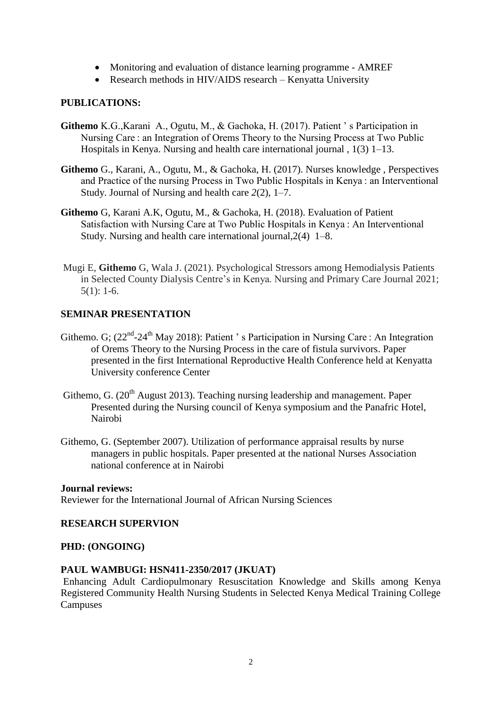- Monitoring and evaluation of distance learning programme AMREF
- Research methods in HIV/AIDS research Kenyatta University

#### **PUBLICATIONS:**

- **Githemo** K.G.,Karani A., Ogutu, M., & Gachoka, H. (2017). Patient ' s Participation in Nursing Care : an Integration of Orems Theory to the Nursing Process at Two Public Hospitals in Kenya. Nursing and health care international journal , 1(3) 1–13.
- **Githemo** G., Karani, A., Ogutu, M., & Gachoka, H. (2017). Nurses knowledge , Perspectives and Practice of the nursing Process in Two Public Hospitals in Kenya : an Interventional Study. Journal of Nursing and health care *2*(2), 1–7.
- **Githemo** G, Karani A.K, Ogutu, M., & Gachoka, H. (2018). Evaluation of Patient Satisfaction with Nursing Care at Two Public Hospitals in Kenya : An Interventional Study. Nursing and health care international journal,2(4) 1–8.
- Mugi E, **Githemo** G, Wala J. (2021). Psychological Stressors among Hemodialysis Patients in Selected County Dialysis Centre's in Kenya. Nursing and Primary Care Journal 2021; 5(1): 1-6.

#### **SEMINAR PRESENTATION**

- Githemo. G; (22<sup>nd</sup>-24<sup>th</sup> May 2018): Patient 's Participation in Nursing Care : An Integration of Orems Theory to the Nursing Process in the care of fistula survivors. Paper presented in the first International Reproductive Health Conference held at Kenyatta University conference Center
- Githemo, G.  $(20<sup>th</sup>$  August 2013). Teaching nursing leadership and management. Paper Presented during the Nursing council of Kenya symposium and the Panafric Hotel, Nairobi
- Githemo, G. (September 2007). Utilization of performance appraisal results by nurse managers in public hospitals. Paper presented at the national Nurses Association national conference at in Nairobi

#### **Journal reviews:**

Reviewer for the International Journal of African Nursing Sciences

#### **RESEARCH SUPERVION**

#### **PHD: (ONGOING)**

#### **PAUL WAMBUGI: HSN411-2350/2017 (JKUAT)**

Enhancing Adult Cardiopulmonary Resuscitation Knowledge and Skills among Kenya Registered Community Health Nursing Students in Selected Kenya Medical Training College **Campuses**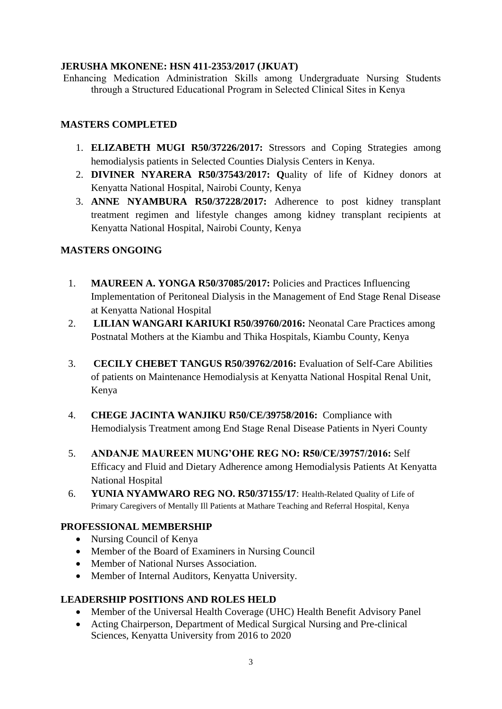## **JERUSHA MKONENE: HSN 411-2353/2017 (JKUAT)**

Enhancing Medication Administration Skills among Undergraduate Nursing Students through a Structured Educational Program in Selected Clinical Sites in Kenya

## **MASTERS COMPLETED**

- 1. **ELIZABETH MUGI R50/37226/2017:** Stressors and Coping Strategies among hemodialysis patients in Selected Counties Dialysis Centers in Kenya.
- 2. **DIVINER NYARERA R50/37543/2017: Q**uality of life of Kidney donors at Kenyatta National Hospital, Nairobi County, Kenya
- 3. **ANNE NYAMBURA R50/37228/2017:** Adherence to post kidney transplant treatment regimen and lifestyle changes among kidney transplant recipients at Kenyatta National Hospital, Nairobi County, Kenya

## **MASTERS ONGOING**

- 1. **MAUREEN A. YONGA R50/37085/2017:** Policies and Practices Influencing Implementation of Peritoneal Dialysis in the Management of End Stage Renal Disease at Kenyatta National Hospital
- 2. **LILIAN WANGARI KARIUKI R50/39760/2016:** Neonatal Care Practices among Postnatal Mothers at the Kiambu and Thika Hospitals, Kiambu County, Kenya
- 3. **CECILY CHEBET TANGUS R50/39762/2016:** Evaluation of Self-Care Abilities of patients on Maintenance Hemodialysis at Kenyatta National Hospital Renal Unit, Kenya
- 4. **CHEGE JACINTA WANJIKU R50/CE/39758/2016:** Compliance with Hemodialysis Treatment among End Stage Renal Disease Patients in Nyeri County
- 5. **ANDANJE MAUREEN MUNG'OHE REG NO: R50/CE/39757/2016:** Self Efficacy and Fluid and Dietary Adherence among Hemodialysis Patients At Kenyatta National Hospital
- 6. **YUNIA NYAMWARO REG NO. R50/37155/17**: Health-Related Quality of Life of Primary Caregivers of Mentally Ill Patients at Mathare Teaching and Referral Hospital, Kenya

## **PROFESSIONAL MEMBERSHIP**

- Nursing Council of Kenya
- Member of the Board of Examiners in Nursing Council
- Member of National Nurses Association.
- Member of Internal Auditors, Kenyatta University.

## **LEADERSHIP POSITIONS AND ROLES HELD**

- Member of the Universal Health Coverage (UHC) Health Benefit Advisory Panel
- Acting Chairperson, Department of Medical Surgical Nursing and Pre-clinical Sciences, Kenyatta University from 2016 to 2020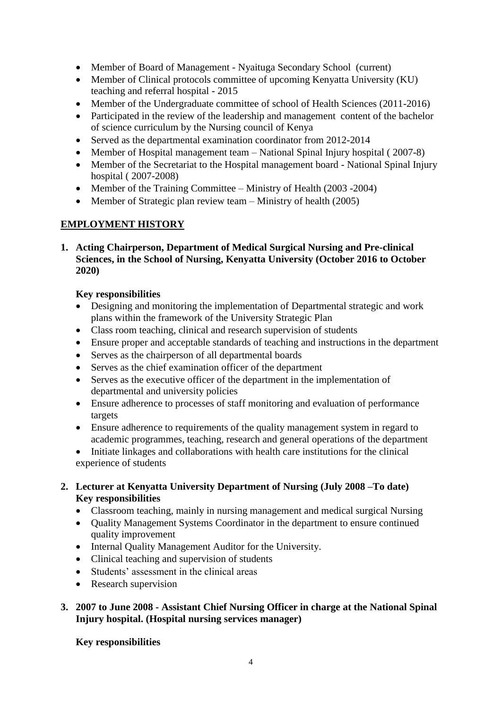- Member of Board of Management Nyaituga Secondary School (current)
- Member of Clinical protocols committee of upcoming Kenyatta University (KU) teaching and referral hospital - 2015
- Member of the Undergraduate committee of school of Health Sciences (2011-2016)
- Participated in the review of the leadership and management content of the bachelor of science curriculum by the Nursing council of Kenya
- Served as the departmental examination coordinator from 2012-2014
- Member of Hospital management team National Spinal Injury hospital (2007-8)
- Member of the Secretariat to the Hospital management board National Spinal Injury hospital ( 2007-2008)
- Member of the Training Committee Ministry of Health (2003 -2004)
- Member of Strategic plan review team Ministry of health (2005)

# **EMPLOYMENT HISTORY**

**1. Acting Chairperson, Department of Medical Surgical Nursing and Pre-clinical Sciences, in the School of Nursing, Kenyatta University (October 2016 to October 2020)**

## **Key responsibilities**

- Designing and monitoring the implementation of Departmental strategic and work plans within the framework of the University Strategic Plan
- Class room teaching, clinical and research supervision of students
- Ensure proper and acceptable standards of teaching and instructions in the department
- Serves as the chairperson of all departmental boards
- Serves as the chief examination officer of the department
- Serves as the executive officer of the department in the implementation of departmental and university policies
- Ensure adherence to processes of staff monitoring and evaluation of performance targets
- Ensure adherence to requirements of the quality management system in regard to academic programmes, teaching, research and general operations of the department
- Initiate linkages and collaborations with health care institutions for the clinical experience of students

## **2. Lecturer at Kenyatta University Department of Nursing (July 2008 –To date) Key responsibilities**

- Classroom teaching, mainly in nursing management and medical surgical Nursing
- Quality Management Systems Coordinator in the department to ensure continued quality improvement
- Internal Quality Management Auditor for the University.
- Clinical teaching and supervision of students
- Students' assessment in the clinical areas
- Research supervision

## **3. 2007 to June 2008 - Assistant Chief Nursing Officer in charge at the National Spinal Injury hospital. (Hospital nursing services manager)**

## **Key responsibilities**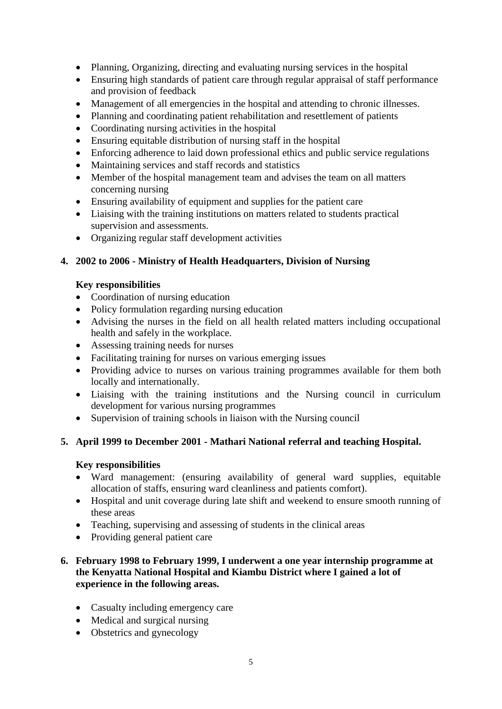- Planning, Organizing, directing and evaluating nursing services in the hospital
- Ensuring high standards of patient care through regular appraisal of staff performance and provision of feedback
- Management of all emergencies in the hospital and attending to chronic illnesses.
- Planning and coordinating patient rehabilitation and resettlement of patients
- Coordinating nursing activities in the hospital
- Ensuring equitable distribution of nursing staff in the hospital
- Enforcing adherence to laid down professional ethics and public service regulations
- Maintaining services and staff records and statistics
- Member of the hospital management team and advises the team on all matters concerning nursing
- Ensuring availability of equipment and supplies for the patient care
- Liaising with the training institutions on matters related to students practical supervision and assessments.
- Organizing regular staff development activities

# **4. 2002 to 2006 - Ministry of Health Headquarters, Division of Nursing**

## **Key responsibilities**

- Coordination of nursing education
- Policy formulation regarding nursing education
- Advising the nurses in the field on all health related matters including occupational health and safely in the workplace.
- Assessing training needs for nurses
- Facilitating training for nurses on various emerging issues
- Providing advice to nurses on various training programmes available for them both locally and internationally.
- Liaising with the training institutions and the Nursing council in curriculum development for various nursing programmes
- Supervision of training schools in liaison with the Nursing council

# **5. April 1999 to December 2001 - Mathari National referral and teaching Hospital.**

## **Key responsibilities**

- Ward management: (ensuring availability of general ward supplies, equitable allocation of staffs, ensuring ward cleanliness and patients comfort).
- Hospital and unit coverage during late shift and weekend to ensure smooth running of these areas
- Teaching, supervising and assessing of students in the clinical areas
- Providing general patient care

# **6. February 1998 to February 1999, I underwent a one year internship programme at the Kenyatta National Hospital and Kiambu District where I gained a lot of experience in the following areas.**

- Casualty including emergency care
- Medical and surgical nursing
- Obstetrics and gynecology